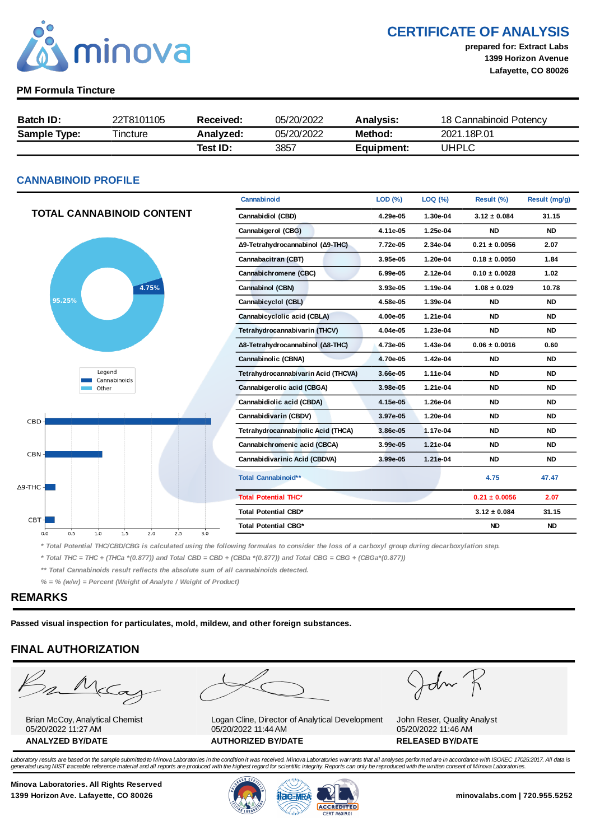

CERTIFICATE OF ANALYSIS

prepared for: Extract Labs 1399 Horizon Avenue Lafayette, CO 80026

### PM Formula Tincture

| <b>Batch ID:</b>    | 22T8101105 | Received: | 05/20/2022 | Analysis:  | 18 Cannabinoid Potency |
|---------------------|------------|-----------|------------|------------|------------------------|
| <b>Sample Type:</b> | Tincture   | Analyzed: | 05/20/2022 | Method:    | 2021.18P.01            |
|                     |            | Test ID:  | 3857       | Equipment: | UHPLC                  |

### CANNABINOID PROFILE

|                                                         | Cannabinoid                         | LOD (%)  | LOQ (%)  | Result (%)        | Result (mg/g) |
|---------------------------------------------------------|-------------------------------------|----------|----------|-------------------|---------------|
| <b>TOTAL CANNABINOID CONTENT</b>                        | Cannabidiol (CBD)                   | 4.29e-05 | 1.30e-04 | $3.12 \pm 0.084$  | 31.15         |
|                                                         | Cannabigerol (CBG)                  | 4.11e-05 | 1.25e-04 | <b>ND</b>         | <b>ND</b>     |
|                                                         | Δ9-Tetrahydrocannabinol (Δ9-THC)    | 7.72e-05 | 2.34e-04 | $0.21 \pm 0.0056$ | 2.07          |
|                                                         | Cannabacitran (CBT)                 | 3.95e-05 | 1.20e-04 | $0.18 \pm 0.0050$ | 1.84          |
|                                                         | Cannabichromene (CBC)               | 6.99e-05 | 2.12e-04 | $0.10 \pm 0.0028$ | 1.02          |
| 4.75%                                                   | Cannabinol (CBN)                    | 3.93e-05 | 1.19e-04 | $1.08 \pm 0.029$  | 10.78         |
| 95.25%                                                  | Cannabicyclol (CBL)                 | 4.58e-05 | 1.39e-04 | <b>ND</b>         | <b>ND</b>     |
|                                                         | Cannabicyclolic acid (CBLA)         | 4.00e-05 | 1.21e-04 | <b>ND</b>         | <b>ND</b>     |
|                                                         | Tetrahydrocannabivarin (THCV)       | 4.04e-05 | 1.23e-04 | <b>ND</b>         | <b>ND</b>     |
|                                                         | Δ8-Tetrahydrocannabinol (Δ8-THC)    | 4.73e-05 | 1.43e-04 | $0.06 \pm 0.0016$ | 0.60          |
|                                                         | Cannabinolic (CBNA)                 | 4.70e-05 | 1.42e-04 | <b>ND</b>         | <b>ND</b>     |
| Legend<br>Cannabinoids                                  | Tetrahydrocannabivarin Acid (THCVA) | 3.66e-05 | 1.11e-04 | <b>ND</b>         | <b>ND</b>     |
| Other                                                   | Cannabigerolic acid (CBGA)          | 3.98e-05 | 1.21e-04 | <b>ND</b>         | <b>ND</b>     |
|                                                         | Cannabidiolic acid (CBDA)           | 4.15e-05 | 1.26e-04 | <b>ND</b>         | <b>ND</b>     |
| <b>CBD</b>                                              | Cannabidivarin (CBDV)               | 3.97e-05 | 1.20e-04 | <b>ND</b>         | <b>ND</b>     |
|                                                         | Tetrahydrocannabinolic Acid (THCA)  | 3.86e-05 | 1.17e-04 | <b>ND</b>         | <b>ND</b>     |
|                                                         | Cannabichromenic acid (CBCA)        | 3.99e-05 | 1.21e-04 | <b>ND</b>         | <b>ND</b>     |
| <b>CBN</b>                                              | Cannabidivarinic Acid (CBDVA)       | 3.99e-05 | 1.21e-04 | <b>ND</b>         | <b>ND</b>     |
| $\Delta$ 9-THC -                                        | Total Cannabinoid**                 |          |          | 4.75              | 47.47         |
|                                                         | <b>Total Potential THC*</b>         |          |          | $0.21 \pm 0.0056$ | 2.07          |
|                                                         | Total Potential CBD*                |          |          | $3.12 \pm 0.084$  | 31.15         |
| $CBT-$<br>2.5<br>3.0<br>0.5<br>1.0<br>1.5<br>2.0<br>0.0 | <b>Total Potential CBG*</b>         |          |          | <b>ND</b>         | <b>ND</b>     |

\* Total Potential THC/CBD/CBG is calculated using the following formulas to consider the loss of a carboxyl group during decarboxylation step.

\* Total THC = THC + (THCa \*(0.877)) and Total CBD = CBD + (CBDa \*(0.877)) and Total CBG = CBG + (CBGa\*(0.877))

\*\* Total Cannabinoids result reflects the absolute sum of all cannabinoids detected.

 $% =$  % (w/w) = Percent (Weight of Analyte / Weight of Product)

### REMARKS

Passed visual inspection for particulates, mold, mildew, and other foreign substances.

## FINAL AUTHORIZATION



Brian McCoy, Analytical Chemist 05/20/2022 11:27 AM



Logan Cline, Director of Analytical Development 05/20/2022 11:44 AM ANALYZED BY/DATE AUTHORIZED BY/DATE AUTHORIZED BY/DATE

John

John Reser, Quality Analyst 05/20/2022 11:46 AM

Laboratory results are based on the sample submitted to Minova Laboratories in the condition it was received. Minova Laboratories warrants that all analyses performed are in accordance with ISO/IEC 17025:2017. All data is generated using NIST traceable reference material and all reports are produced with the highest regard for scientific integrity. Reports can only be reproduced with the written consent of Minova Laboratories.

Minova Laboratories. All Rights Reserved 1399 Horizon Ave. Lafayette, CO 80026 **1300 Minovalabs.com | 720.955.5252** minovalabs.com | 720.955.5252



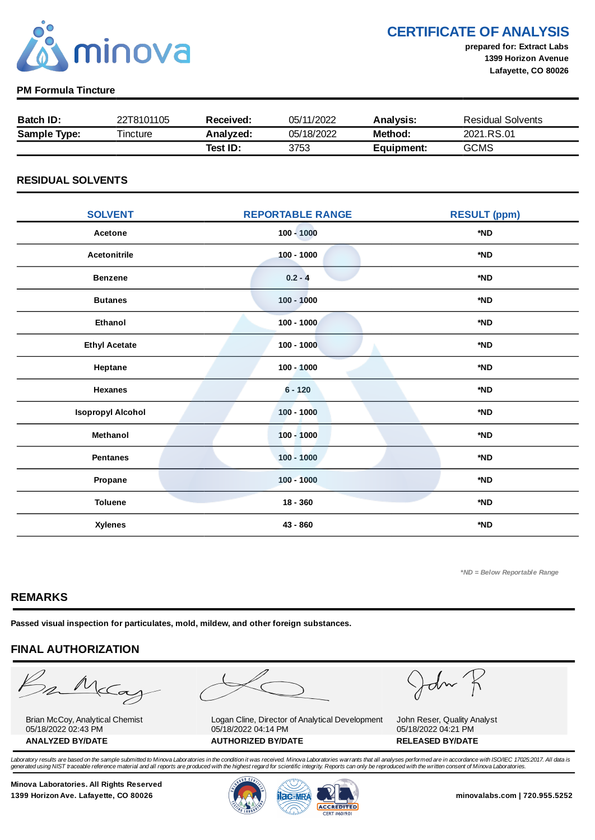

CERTIFICATE OF ANALYSIS

prepared for: Extract Labs 1399 Horizon Avenue Lafayette, CO 80026

### PM Formula Tincture

| Batch ID:           | 22T8101105 | Received: | 05/11/2022 | <b>Analysis:</b> | <b>Residual Solvents</b> |
|---------------------|------------|-----------|------------|------------------|--------------------------|
| <b>Sample Type:</b> | Tincture   | Analyzed: | 05/18/2022 | Method:          | 2021.RS.01               |
|                     |            | Test ID:  | 3753       | Equipment:       | <b>GCMS</b>              |

### RESIDUAL SOLVENTS

| <b>SOLVENT</b>           | <b>REPORTABLE RANGE</b> | <b>RESULT (ppm)</b> |
|--------------------------|-------------------------|---------------------|
| Acetone                  | $100 - 1000$            | *ND                 |
| <b>Acetonitrile</b>      | $100 - 1000$            | *ND                 |
| <b>Benzene</b>           | $0.2 - 4$               | *ND                 |
| <b>Butanes</b>           | $100 - 1000$            | *ND                 |
| <b>Ethanol</b>           | $100 - 1000$            | *ND                 |
| <b>Ethyl Acetate</b>     | $100 - 1000$            | *ND                 |
| Heptane                  | $100 - 1000$            | *ND                 |
| <b>Hexanes</b>           | $6 - 120$               | *ND                 |
| <b>Isopropyl Alcohol</b> | $100 - 1000$            | *ND                 |
| Methanol                 | $100 - 1000$            | *ND                 |
| <b>Pentanes</b>          | $100 - 1000$            | *ND                 |
| Propane                  | $100 - 1000$            | *ND                 |
| <b>Toluene</b>           | $18 - 360$              | *ND                 |
| <b>Xylenes</b>           | 43 - 860                | *ND                 |

\*ND = Below Reportable Range

### REMARKS

Passed visual inspection for particulates, mold, mildew, and other foreign substances.

### FINAL AUTHORIZATION

mMcCa

Brian McCoy, Analytical Chemist 05/18/2022 02:43 PM

Logan Cline, Director of Analytical Development 05/18/2022 04:14 PM ANALYZED BY/DATE AUTHORIZED BY/DATE AUTHORIZED BY/DATE

John

John Reser, Quality Analyst 05/18/2022 04:21 PM

Laboratory results are based on the sample submitted to Minova Laboratories in the condition it was received. Minova Laboratories warrants that all analyses performed are in accordance with ISO/IEC 17025:2017. All data is generated using NIST traceable reference material and all reports are produced with the highest regard for scientific integrity. Reports can only be reproduced with the written consent of Minova Laboratories.

Minova Laboratories. All Rights Reserved 1399 Horizon Ave. Lafayette, CO 80026 **1300 Minovalabs.com | 720.955.5252** minovalabs.com | 720.955.5252



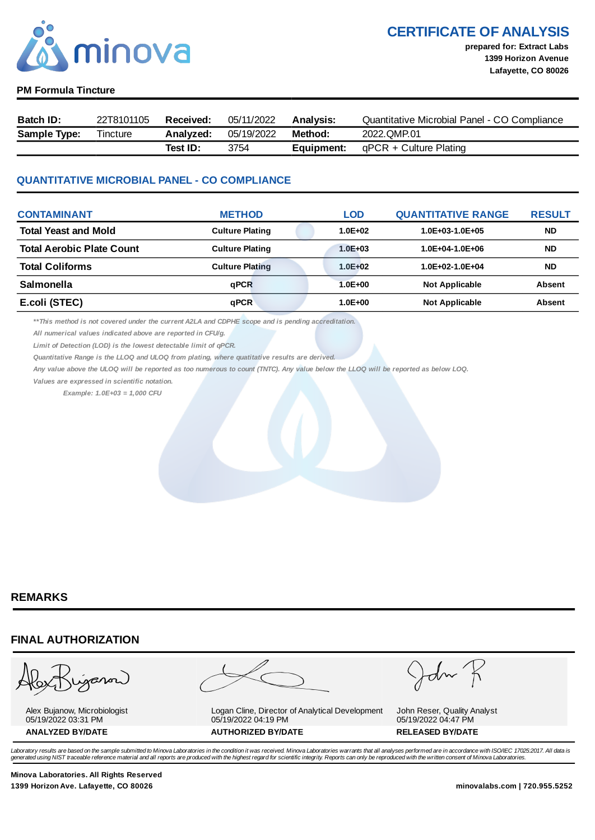

CERTIFICATE OF ANALYSIS

prepared for: Extract Labs 1399 Horizon Avenue Lafayette, CO 80026

#### PM Formula Tincture

| Batch ID:           | 22T8101105 | <b>Received:</b> | 05/11/2022 | <b>Analysis:</b> | Quantitative Microbial Panel - CO Compliance |
|---------------------|------------|------------------|------------|------------------|----------------------------------------------|
| <b>Sample Type:</b> | Tincture   | Analvzed:        | 05/19/2022 | Method:          | 2022.OMP.01                                  |
|                     |            | Test ID:         | 3754       | Equipment:       | qPCR + Culture Plating                       |

### QUANTITATIVE MICROBIAL PANEL - CO COMPLIANCE

| <b>CONTAMINANT</b>               | <b>METHOD</b>          | LOD         | <b>QUANTITATIVE RANGE</b> | <b>RESULT</b> |
|----------------------------------|------------------------|-------------|---------------------------|---------------|
| <b>Total Yeast and Mold</b>      | <b>Culture Plating</b> | $1.0E + 02$ | $1.0E + 03 - 1.0E + 05$   | <b>ND</b>     |
| <b>Total Aerobic Plate Count</b> | <b>Culture Plating</b> | $1.0E + 03$ | $1.0E + 04 - 1.0E + 06$   | <b>ND</b>     |
| <b>Total Coliforms</b>           | <b>Culture Plating</b> | $1.0E + 02$ | $1.0E+02-1.0E+04$         | <b>ND</b>     |
| <b>Salmonella</b>                | aPCR                   | $1.0E + 00$ | <b>Not Applicable</b>     | <b>Absent</b> |
| E.coli (STEC)                    | qPCR                   | $1.0E + 00$ | <b>Not Applicable</b>     | <b>Absent</b> |

\*\*This method is not covered under the current A2LA and CDPHE scope and is pending accreditation.

All numerical values indicated above are reported in CFU/g.

Limit of Detection (LOD) is the lowest detectable limit of qPCR.

Quantitative Range is the LLOQ and ULOQ from plating, where quatitative results are derived.

Any value above the ULOQ will be reported as too numerous to count (TNTC). Any value below the LLOQ will be reported as below LOQ.

Values are expressed in scientific notation.

Example: 1.0E+03 = 1,000 CFU

### REMARKS

### FINAL AUTHORIZATION

ganon

Alex Bujanow, Microbiologist 05/19/2022 03:31 PM

Logan Cline, Director of Analytical Development 05/19/2022 04:19 PM ANALYZED BY/DATE AUTHORIZED BY/DATE AUTHORIZED BY/DATE

John Reser, Quality Analyst 05/19/2022 04:47 PM

Laboratory results are based on the sample submitted to Minova Laboratories in the condition it was received. Minova Laboratories warrants that all analyses performed are in accordance with ISO/IEC 17025:2017. All data is *generated using NIST traceable reference material and all reports are produced with the highest regard for scientific integrity. Reports can only be reproduced with the written consent of Minova Laboratories.* 

Minova Laboratories. All Rights Reserved 1399 Horizon Ave. Lafayette, CO 80026 minovalabs.com | 720.955.5252